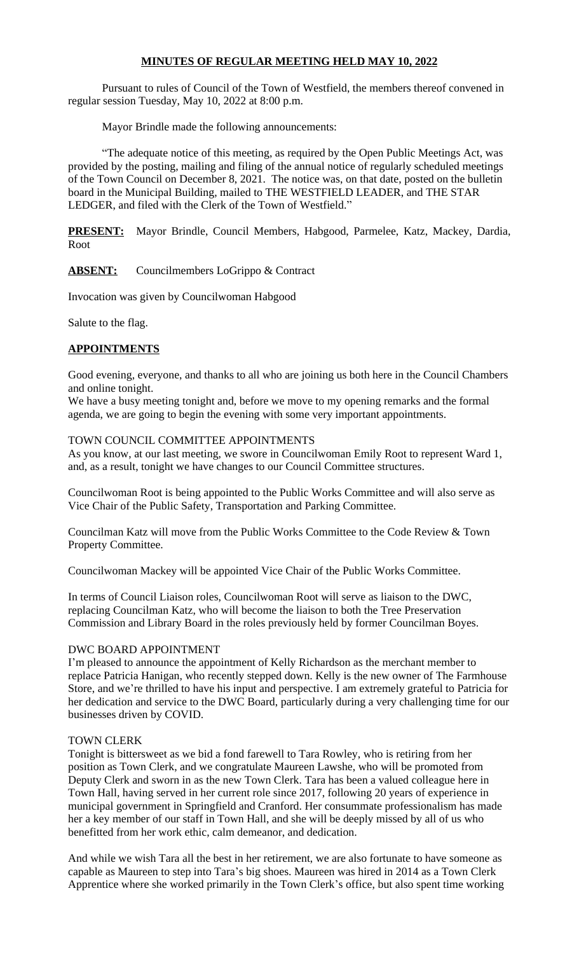#### **MINUTES OF REGULAR MEETING HELD MAY 10, 2022**

Pursuant to rules of Council of the Town of Westfield, the members thereof convened in regular session Tuesday, May 10, 2022 at 8:00 p.m.

Mayor Brindle made the following announcements:

"The adequate notice of this meeting, as required by the Open Public Meetings Act, was provided by the posting, mailing and filing of the annual notice of regularly scheduled meetings of the Town Council on December 8, 2021. The notice was, on that date, posted on the bulletin board in the Municipal Building, mailed to THE WESTFIELD LEADER, and THE STAR LEDGER, and filed with the Clerk of the Town of Westfield."

**PRESENT:** Mayor Brindle, Council Members, Habgood, Parmelee, Katz, Mackey, Dardia, Root

#### ABSENT: Councilmembers LoGrippo & Contract

Invocation was given by Councilwoman Habgood

Salute to the flag.

#### **APPOINTMENTS**

Good evening, everyone, and thanks to all who are joining us both here in the Council Chambers and online tonight.

We have a busy meeting tonight and, before we move to my opening remarks and the formal agenda, we are going to begin the evening with some very important appointments.

#### TOWN COUNCIL COMMITTEE APPOINTMENTS

As you know, at our last meeting, we swore in Councilwoman Emily Root to represent Ward 1, and, as a result, tonight we have changes to our Council Committee structures.

Councilwoman Root is being appointed to the Public Works Committee and will also serve as Vice Chair of the Public Safety, Transportation and Parking Committee.

Councilman Katz will move from the Public Works Committee to the Code Review & Town Property Committee.

Councilwoman Mackey will be appointed Vice Chair of the Public Works Committee.

In terms of Council Liaison roles, Councilwoman Root will serve as liaison to the DWC, replacing Councilman Katz, who will become the liaison to both the Tree Preservation Commission and Library Board in the roles previously held by former Councilman Boyes.

#### DWC BOARD APPOINTMENT

I'm pleased to announce the appointment of Kelly Richardson as the merchant member to replace Patricia Hanigan, who recently stepped down. Kelly is the new owner of The Farmhouse Store, and we're thrilled to have his input and perspective. I am extremely grateful to Patricia for her dedication and service to the DWC Board, particularly during a very challenging time for our businesses driven by COVID.

#### TOWN CLERK

Tonight is bittersweet as we bid a fond farewell to Tara Rowley, who is retiring from her position as Town Clerk, and we congratulate Maureen Lawshe, who will be promoted from Deputy Clerk and sworn in as the new Town Clerk. Tara has been a valued colleague here in Town Hall, having served in her current role since 2017, following 20 years of experience in municipal government in Springfield and Cranford. Her consummate professionalism has made her a key member of our staff in Town Hall, and she will be deeply missed by all of us who benefitted from her work ethic, calm demeanor, and dedication.

And while we wish Tara all the best in her retirement, we are also fortunate to have someone as capable as Maureen to step into Tara's big shoes. Maureen was hired in 2014 as a Town Clerk Apprentice where she worked primarily in the Town Clerk's office, but also spent time working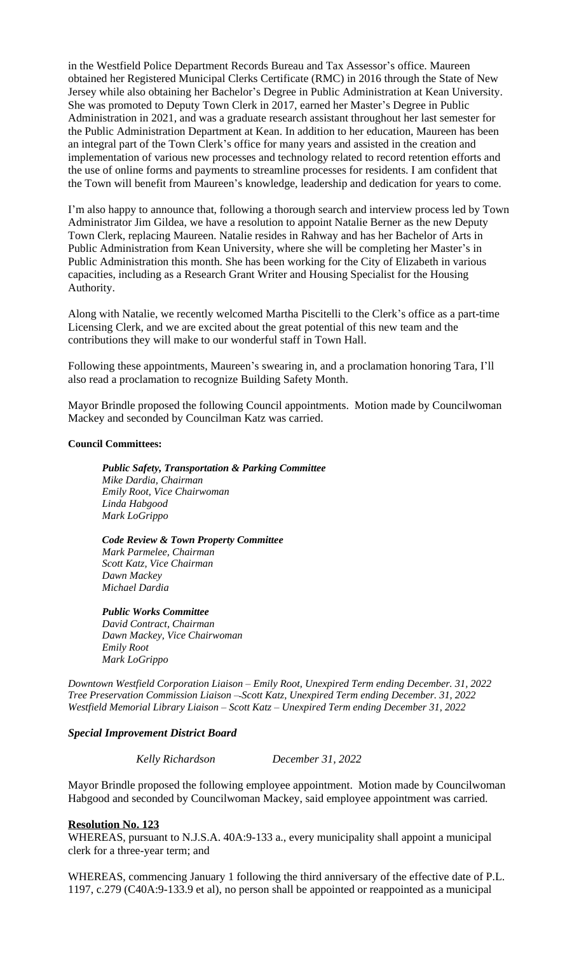in the Westfield Police Department Records Bureau and Tax Assessor's office. Maureen obtained her Registered Municipal Clerks Certificate (RMC) in 2016 through the State of New Jersey while also obtaining her Bachelor's Degree in Public Administration at Kean University. She was promoted to Deputy Town Clerk in 2017, earned her Master's Degree in Public Administration in 2021, and was a graduate research assistant throughout her last semester for the Public Administration Department at Kean. In addition to her education, Maureen has been an integral part of the Town Clerk's office for many years and assisted in the creation and implementation of various new processes and technology related to record retention efforts and the use of online forms and payments to streamline processes for residents. I am confident that the Town will benefit from Maureen's knowledge, leadership and dedication for years to come.

I'm also happy to announce that, following a thorough search and interview process led by Town Administrator Jim Gildea, we have a resolution to appoint Natalie Berner as the new Deputy Town Clerk, replacing Maureen. Natalie resides in Rahway and has her Bachelor of Arts in Public Administration from Kean University, where she will be completing her Master's in Public Administration this month. She has been working for the City of Elizabeth in various capacities, including as a Research Grant Writer and Housing Specialist for the Housing Authority.

Along with Natalie, we recently welcomed Martha Piscitelli to the Clerk's office as a part-time Licensing Clerk, and we are excited about the great potential of this new team and the contributions they will make to our wonderful staff in Town Hall.

Following these appointments, Maureen's swearing in, and a proclamation honoring Tara, I'll also read a proclamation to recognize Building Safety Month.

Mayor Brindle proposed the following Council appointments. Motion made by Councilwoman Mackey and seconded by Councilman Katz was carried.

#### **Council Committees:**

*Public Safety, Transportation & Parking Committee Mike Dardia, Chairman Emily Root, Vice Chairwoman Linda Habgood Mark LoGrippo*

*Code Review & Town Property Committee Mark Parmelee, Chairman Scott Katz, Vice Chairman Dawn Mackey*

*Public Works Committee David Contract, Chairman Dawn Mackey, Vice Chairwoman Emily Root Mark LoGrippo*

*Downtown Westfield Corporation Liaison – Emily Root, Unexpired Term ending December. 31, 2022 Tree Preservation Commission Liaison – Scott Katz, Unexpired Term ending December. 31, 2022 Westfield Memorial Library Liaison – Scott Katz – Unexpired Term ending December 31, 2022*

#### *Special Improvement District Board*

*Michael Dardia*

*Kelly Richardson December 31, 2022*

Mayor Brindle proposed the following employee appointment. Motion made by Councilwoman Habgood and seconded by Councilwoman Mackey, said employee appointment was carried.

#### **Resolution No. 123**

WHEREAS, pursuant to N.J.S.A. 40A:9-133 a., every municipality shall appoint a municipal clerk for a three-year term; and

WHEREAS, commencing January 1 following the third anniversary of the effective date of P.L. 1197, c.279 (C40A:9-133.9 et al), no person shall be appointed or reappointed as a municipal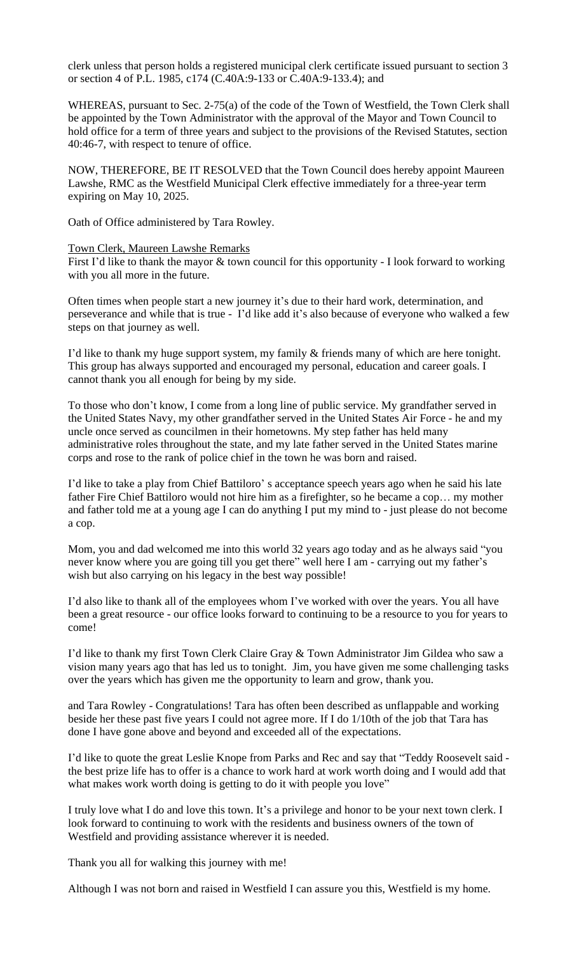clerk unless that person holds a registered municipal clerk certificate issued pursuant to section 3 or section 4 of P.L. 1985, c174 (C.40A:9-133 or C.40A:9-133.4); and

WHEREAS, pursuant to Sec. 2-75(a) of the code of the Town of Westfield, the Town Clerk shall be appointed by the Town Administrator with the approval of the Mayor and Town Council to hold office for a term of three years and subject to the provisions of the Revised Statutes, section 40:46-7, with respect to tenure of office.

NOW, THEREFORE, BE IT RESOLVED that the Town Council does hereby appoint Maureen Lawshe, RMC as the Westfield Municipal Clerk effective immediately for a three-year term expiring on May 10, 2025.

Oath of Office administered by Tara Rowley.

#### Town Clerk, Maureen Lawshe Remarks

First I'd like to thank the mayor & town council for this opportunity - I look forward to working with you all more in the future.

Often times when people start a new journey it's due to their hard work, determination, and perseverance and while that is true - I'd like add it's also because of everyone who walked a few steps on that journey as well.

I'd like to thank my huge support system, my family & friends many of which are here tonight. This group has always supported and encouraged my personal, education and career goals. I cannot thank you all enough for being by my side.

To those who don't know, I come from a long line of public service. My grandfather served in the United States Navy, my other grandfather served in the United States Air Force - he and my uncle once served as councilmen in their hometowns. My step father has held many administrative roles throughout the state, and my late father served in the United States marine corps and rose to the rank of police chief in the town he was born and raised.

I'd like to take a play from Chief Battiloro' s acceptance speech years ago when he said his late father Fire Chief Battiloro would not hire him as a firefighter, so he became a cop… my mother and father told me at a young age I can do anything I put my mind to - just please do not become a cop.

Mom, you and dad welcomed me into this world 32 years ago today and as he always said "you never know where you are going till you get there" well here I am - carrying out my father's wish but also carrying on his legacy in the best way possible!

I'd also like to thank all of the employees whom I've worked with over the years. You all have been a great resource - our office looks forward to continuing to be a resource to you for years to come!

I'd like to thank my first Town Clerk Claire Gray & Town Administrator Jim Gildea who saw a vision many years ago that has led us to tonight. Jim, you have given me some challenging tasks over the years which has given me the opportunity to learn and grow, thank you.

and Tara Rowley - Congratulations! Tara has often been described as unflappable and working beside her these past five years I could not agree more. If I do 1/10th of the job that Tara has done I have gone above and beyond and exceeded all of the expectations.

I'd like to quote the great Leslie Knope from Parks and Rec and say that "Teddy Roosevelt said the best prize life has to offer is a chance to work hard at work worth doing and I would add that what makes work worth doing is getting to do it with people you love"

I truly love what I do and love this town. It's a privilege and honor to be your next town clerk. I look forward to continuing to work with the residents and business owners of the town of Westfield and providing assistance wherever it is needed.

Thank you all for walking this journey with me!

Although I was not born and raised in Westfield I can assure you this, Westfield is my home.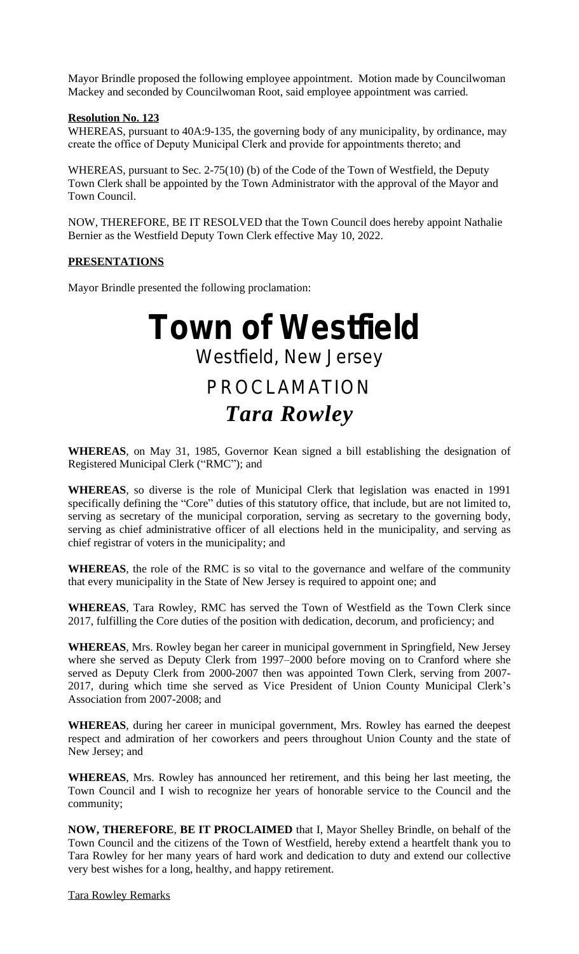Mayor Brindle proposed the following employee appointment. Motion made by Councilwoman Mackey and seconded by Councilwoman Root, said employee appointment was carried.

#### **Resolution No. 123**

WHEREAS, pursuant to 40A:9-135, the governing body of any municipality, by ordinance, may create the office of Deputy Municipal Clerk and provide for appointments thereto; and

WHEREAS, pursuant to Sec. 2-75(10) (b) of the Code of the Town of Westfield, the Deputy Town Clerk shall be appointed by the Town Administrator with the approval of the Mayor and Town Council.

NOW, THEREFORE, BE IT RESOLVED that the Town Council does hereby appoint Nathalie Bernier as the Westfield Deputy Town Clerk effective May 10, 2022.

#### **PRESENTATIONS**

Mayor Brindle presented the following proclamation:

# **Town of Westfield** Westfield, New Jersey PROCLAMATION *Tara Rowley*

**WHEREAS**, on May 31, 1985, Governor Kean signed a bill establishing the designation of Registered Municipal Clerk ("RMC"); and

**WHEREAS**, so diverse is the role of Municipal Clerk that legislation was enacted in 1991 specifically defining the "Core" duties of this statutory office, that include, but are not limited to, serving as secretary of the municipal corporation, serving as secretary to the governing body, serving as chief administrative officer of all elections held in the municipality, and serving as chief registrar of voters in the municipality; and

**WHEREAS**, the role of the RMC is so vital to the governance and welfare of the community that every municipality in the State of New Jersey is required to appoint one; and

**WHEREAS**, Tara Rowley, RMC has served the Town of Westfield as the Town Clerk since 2017, fulfilling the Core duties of the position with dedication, decorum, and proficiency; and

**WHEREAS**, Mrs. Rowley began her career in municipal government in Springfield, New Jersey where she served as Deputy Clerk from 1997–2000 before moving on to Cranford where she served as Deputy Clerk from 2000-2007 then was appointed Town Clerk, serving from 2007- 2017, during which time she served as Vice President of Union County Municipal Clerk's Association from 2007-2008; and

**WHEREAS**, during her career in municipal government, Mrs. Rowley has earned the deepest respect and admiration of her coworkers and peers throughout Union County and the state of New Jersey; and

**WHEREAS**, Mrs. Rowley has announced her retirement, and this being her last meeting, the Town Council and I wish to recognize her years of honorable service to the Council and the community;

**NOW, THEREFORE**, **BE IT PROCLAIMED** that I, Mayor Shelley Brindle, on behalf of the Town Council and the citizens of the Town of Westfield, hereby extend a heartfelt thank you to Tara Rowley for her many years of hard work and dedication to duty and extend our collective very best wishes for a long, healthy, and happy retirement.

Tara Rowley Remarks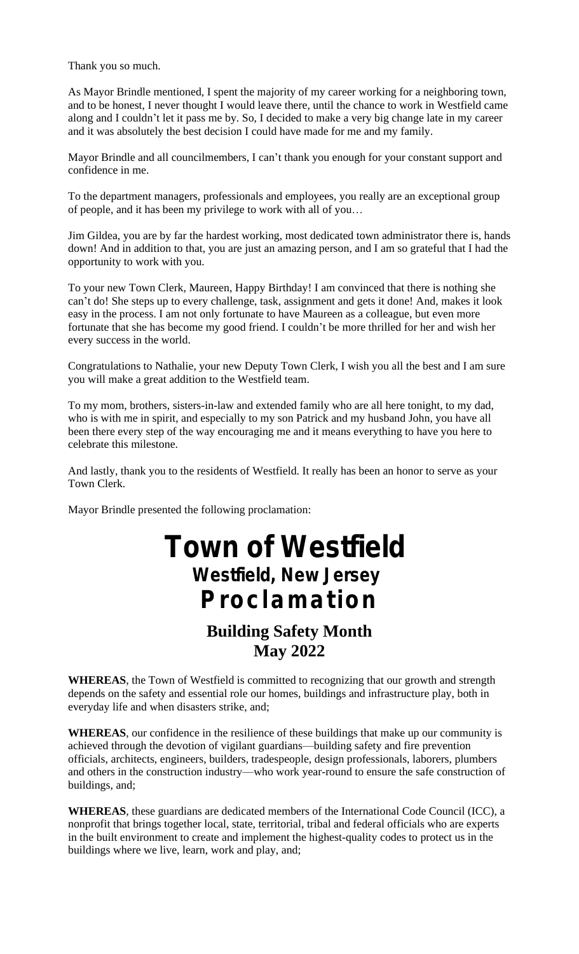Thank you so much.

As Mayor Brindle mentioned, I spent the majority of my career working for a neighboring town, and to be honest, I never thought I would leave there, until the chance to work in Westfield came along and I couldn't let it pass me by. So, I decided to make a very big change late in my career and it was absolutely the best decision I could have made for me and my family.

Mayor Brindle and all councilmembers, I can't thank you enough for your constant support and confidence in me.

To the department managers, professionals and employees, you really are an exceptional group of people, and it has been my privilege to work with all of you…

Jim Gildea, you are by far the hardest working, most dedicated town administrator there is, hands down! And in addition to that, you are just an amazing person, and I am so grateful that I had the opportunity to work with you.

To your new Town Clerk, Maureen, Happy Birthday! I am convinced that there is nothing she can't do! She steps up to every challenge, task, assignment and gets it done! And, makes it look easy in the process. I am not only fortunate to have Maureen as a colleague, but even more fortunate that she has become my good friend. I couldn't be more thrilled for her and wish her every success in the world.

Congratulations to Nathalie, your new Deputy Town Clerk, I wish you all the best and I am sure you will make a great addition to the Westfield team.

To my mom, brothers, sisters-in-law and extended family who are all here tonight, to my dad, who is with me in spirit, and especially to my son Patrick and my husband John, you have all been there every step of the way encouraging me and it means everything to have you here to celebrate this milestone.

And lastly, thank you to the residents of Westfield. It really has been an honor to serve as your Town Clerk.

Mayor Brindle presented the following proclamation:

## **Town of Westfield Westfield, New Jersey Proclamation**

## **Building Safety Month May 2022**

**WHEREAS**, the Town of Westfield is committed to recognizing that our growth and strength depends on the safety and essential role our homes, buildings and infrastructure play, both in everyday life and when disasters strike, and;

**WHEREAS**, our confidence in the resilience of these buildings that make up our community is achieved through the devotion of vigilant guardians––building safety and fire prevention officials, architects, engineers, builders, tradespeople, design professionals, laborers, plumbers and others in the construction industry––who work year-round to ensure the safe construction of buildings, and;

**WHEREAS**, these guardians are dedicated members of the International Code Council (ICC), a nonprofit that brings together local, state, territorial, tribal and federal officials who are experts in the built environment to create and implement the highest-quality codes to protect us in the buildings where we live, learn, work and play, and;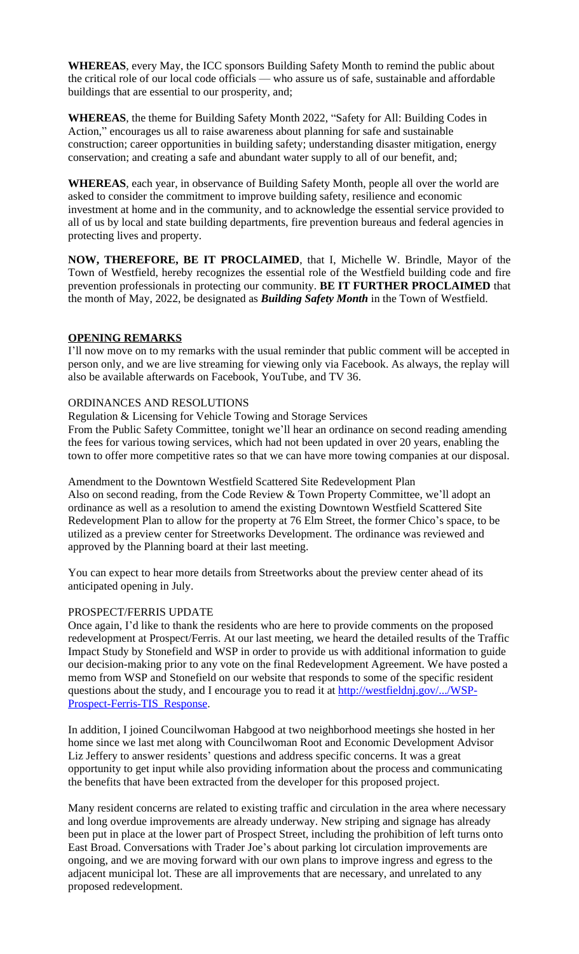investment at home and in the community, and to acknowledge the essential service provided to all of us by local and state building departments, fire prevention bureaus and federal agencies in protecting lives and property.

**NOW, THEREFORE, BE IT PROCLAIMED**, that I, Michelle W. Brindle, Mayor of the Town of Westfield, hereby recognizes the essential role of the Westfield building code and fire prevention professionals in protecting our community. **BE IT FURTHER PROCLAIMED** that the month of May, 2022, be designated as *Building Safety Month* in the Town of Westfield.

#### **OPENING REMARKS**

I'll now move on to my remarks with the usual reminder that public comment will be accepted in person only, and we are live streaming for viewing only via Facebook. As always, the replay will also be available afterwards on Facebook, YouTube, and TV 36.

#### ORDINANCES AND RESOLUTIONS

Regulation & Licensing for Vehicle Towing and Storage Services From the Public Safety Committee, tonight we'll hear an ordinance on second reading amending the fees for various towing services, which had not been updated in over 20 years, enabling the town to offer more competitive rates so that we can have more towing companies at our disposal.

Amendment to the Downtown Westfield Scattered Site Redevelopment Plan Also on second reading, from the Code Review & Town Property Committee, we'll adopt an ordinance as well as a resolution to amend the existing Downtown Westfield Scattered Site Redevelopment Plan to allow for the property at 76 Elm Street, the former Chico's space, to be utilized as a preview center for Streetworks Development. The ordinance was reviewed and approved by the Planning board at their last meeting.

You can expect to hear more details from Streetworks about the preview center ahead of its anticipated opening in July.

#### PROSPECT/FERRIS UPDATE

Once again, I'd like to thank the residents who are here to provide comments on the proposed redevelopment at Prospect/Ferris. At our last meeting, we heard the detailed results of the Traffic Impact Study by Stonefield and WSP in order to provide us with additional information to guide our decision-making prior to any vote on the final Redevelopment Agreement. We have posted a memo from WSP and Stonefield on our website that responds to some of the specific resident questions about the study, and I encourage you to read it at http://westfieldnj.gov/.../WSP-Prospect-Ferris-TIS\_Response.

In addition, I joined Councilwoman Habgood at two neighborhood meetings she hosted in her home since we last met along with Councilwoman Root and Economic Development Advisor Liz Jeffery to answer residents' questions and address specific concerns. It was a great opportunity to get input while also providing information about the process and communicating the benefits that have been extracted from the developer for this proposed project.

Many resident concerns are related to existing traffic and circulation in the area where necessary and long overdue improvements are already underway. New striping and signage has already been put in place at the lower part of Prospect Street, including the prohibition of left turns onto East Broad. Conversations with Trader Joe's about parking lot circulation improvements are ongoing, and we are moving forward with our own plans to improve ingress and egress to the adjacent municipal lot. These are all improvements that are necessary, and unrelated to any proposed redevelopment.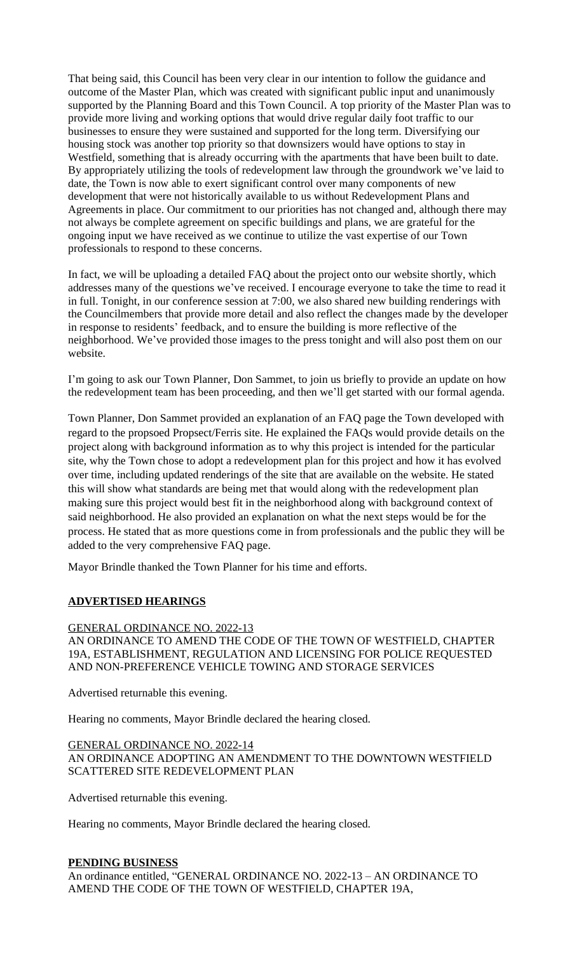That being said, this Council has been very clear in our intention to follow the guidance and outcome of the Master Plan, which was created with significant public input and unanimously supported by the Planning Board and this Town Council. A top priority of the Master Plan was to provide more living and working options that would drive regular daily foot traffic to our businesses to ensure they were sustained and supported for the long term. Diversifying our housing stock was another top priority so that downsizers would have options to stay in Westfield, something that is already occurring with the apartments that have been built to date. By appropriately utilizing the tools of redevelopment law through the groundwork we've laid to date, the Town is now able to exert significant control over many components of new development that were not historically available to us without Redevelopment Plans and Agreements in place. Our commitment to our priorities has not changed and, although there may not always be complete agreement on specific buildings and plans, we are grateful for the ongoing input we have received as we continue to utilize the vast expertise of our Town professionals to respond to these concerns.

In fact, we will be uploading a detailed FAQ about the project onto our website shortly, which addresses many of the questions we've received. I encourage everyone to take the time to read it in full. Tonight, in our conference session at 7:00, we also shared new building renderings with the Councilmembers that provide more detail and also reflect the changes made by the developer in response to residents' feedback, and to ensure the building is more reflective of the neighborhood. We've provided those images to the press tonight and will also post them on our website.

I'm going to ask our Town Planner, Don Sammet, to join us briefly to provide an update on how the redevelopment team has been proceeding, and then we'll get started with our formal agenda.

Town Planner, Don Sammet provided an explanation of an FAQ page the Town developed with regard to the propsoed Propsect/Ferris site. He explained the FAQs would provide details on the project along with background information as to why this project is intended for the particular site, why the Town chose to adopt a redevelopment plan for this project and how it has evolved over time, including updated renderings of the site that are available on the website. He stated this will show what standards are being met that would along with the redevelopment plan making sure this project would best fit in the neighborhood along with background context of said neighborhood. He also provided an explanation on what the next steps would be for the process. He stated that as more questions come in from professionals and the public they will be added to the very comprehensive FAQ page.

Mayor Brindle thanked the Town Planner for his time and efforts.

#### **ADVERTISED HEARINGS**

#### GENERAL ORDINANCE NO. 2022-13

#### AN ORDINANCE TO AMEND THE CODE OF THE TOWN OF WESTFIELD, CHAPTER 19A, ESTABLISHMENT, REGULATION AND LICENSING FOR POLICE REQUESTED AND NON-PREFERENCE VEHICLE TOWING AND STORAGE SERVICES

Advertised returnable this evening.

Hearing no comments, Mayor Brindle declared the hearing closed.

#### GENERAL ORDINANCE NO. 2022-14

AN ORDINANCE ADOPTING AN AMENDMENT TO THE DOWNTOWN WESTFIELD SCATTERED SITE REDEVELOPMENT PLAN

Advertised returnable this evening.

Hearing no comments, Mayor Brindle declared the hearing closed.

#### **PENDING BUSINESS**

An ordinance entitled, "GENERAL ORDINANCE NO. 2022-13 – AN ORDINANCE TO AMEND THE CODE OF THE TOWN OF WESTFIELD, CHAPTER 19A,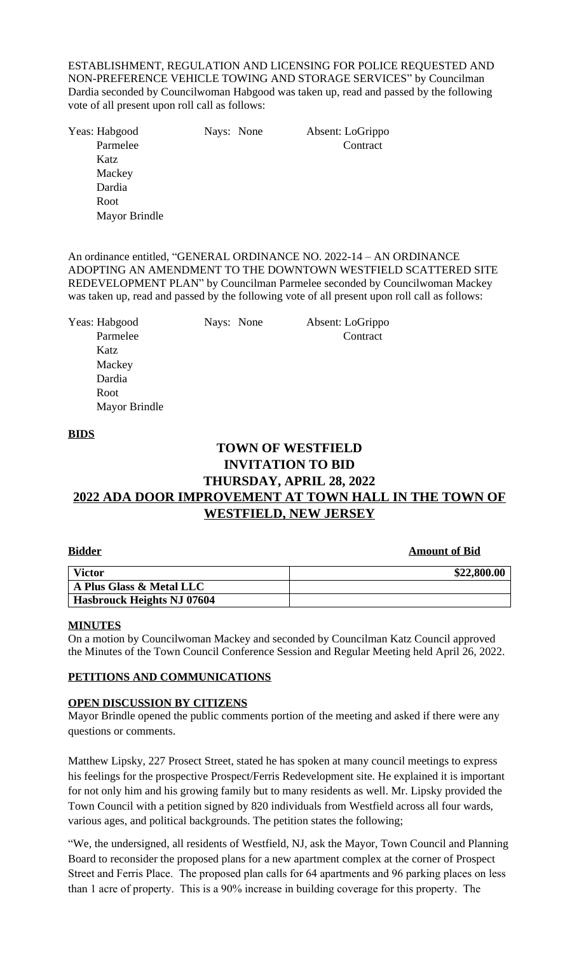ESTABLISHMENT, REGULATION AND LICENSING FOR POLICE REQUESTED AND NON-PREFERENCE VEHICLE TOWING AND STORAGE SERVICES" by Councilman Dardia seconded by Councilwoman Habgood was taken up, read and passed by the following vote of all present upon roll call as follows:

Yeas: Habgood Nays: None Absent: LoGrippo Parmelee Contract Katz Mackey Dardia Root Mayor Brindle

An ordinance entitled, "GENERAL ORDINANCE NO. 2022-14 – AN ORDINANCE ADOPTING AN AMENDMENT TO THE DOWNTOWN WESTFIELD SCATTERED SITE REDEVELOPMENT PLAN" by Councilman Parmelee seconded by Councilwoman Mackey was taken up, read and passed by the following vote of all present upon roll call as follows:

| Yeas: Habgood        | Nays: None | Absent: LoGrippo |  |
|----------------------|------------|------------------|--|
| Parmelee             |            | Contract         |  |
| Katz                 |            |                  |  |
| Mackey               |            |                  |  |
| Dardia               |            |                  |  |
| Root                 |            |                  |  |
| <b>Mayor Brindle</b> |            |                  |  |

#### **BIDS**

### **TOWN OF WESTFIELD INVITATION TO BID THURSDAY, APRIL 28, 2022 2022 ADA DOOR IMPROVEMENT AT TOWN HALL IN THE TOWN OF WESTFIELD, NEW JERSEY**

#### **Amount of Bid**

| <b>Victor</b>                     | \$22,800.00 |
|-----------------------------------|-------------|
| A Plus Glass & Metal LLC          |             |
| <b>Hasbrouck Heights NJ 07604</b> |             |

#### **MINUTES**

On a motion by Councilwoman Mackey and seconded by Councilman Katz Council approved the Minutes of the Town Council Conference Session and Regular Meeting held April 26, 2022.

#### **PETITIONS AND COMMUNICATIONS**

#### **OPEN DISCUSSION BY CITIZENS**

Mayor Brindle opened the public comments portion of the meeting and asked if there were any questions or comments.

Matthew Lipsky, 227 Prosect Street, stated he has spoken at many council meetings to express his feelings for the prospective Prospect/Ferris Redevelopment site. He explained it is important for not only him and his growing family but to many residents as well. Mr. Lipsky provided the Town Council with a petition signed by 820 individuals from Westfield across all four wards, various ages, and political backgrounds. The petition states the following;

"We, the undersigned, all residents of Westfield, NJ, ask the Mayor, Town Council and Planning Board to reconsider the proposed plans for a new apartment complex at the corner of Prospect Street and Ferris Place. The proposed plan calls for 64 apartments and 96 parking places on less than 1 acre of property. This is a 90% increase in building coverage for this property. The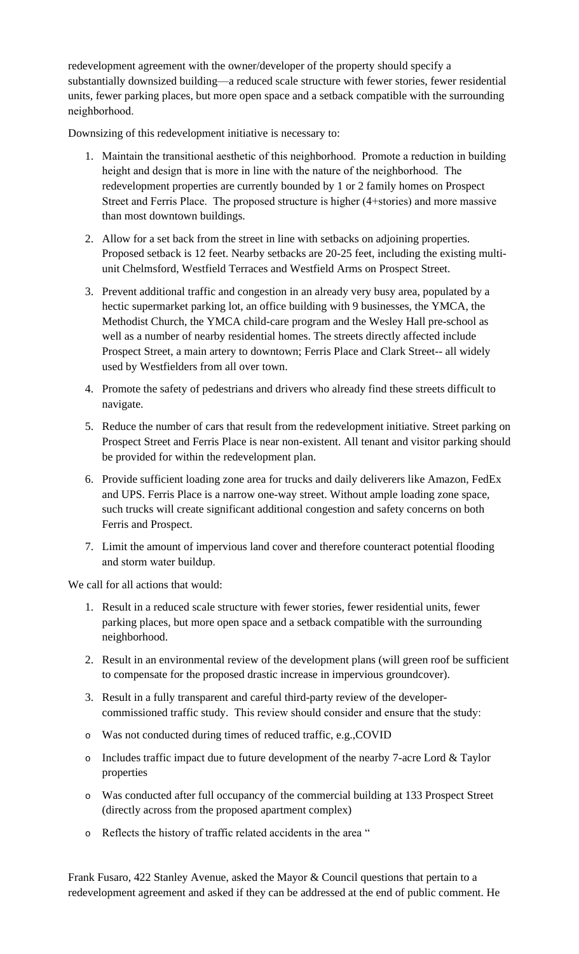redevelopment agreement with the owner/developer of the property should specify a substantially downsized building—a reduced scale structure with fewer stories, fewer residential units, fewer parking places, but more open space and a setback compatible with the surrounding neighborhood.

Downsizing of this redevelopment initiative is necessary to:

- 1. Maintain the transitional aesthetic of this neighborhood. Promote a reduction in building height and design that is more in line with the nature of the neighborhood. The redevelopment properties are currently bounded by 1 or 2 family homes on Prospect Street and Ferris Place. The proposed structure is higher (4+stories) and more massive than most downtown buildings.
- 2. Allow for a set back from the street in line with setbacks on adjoining properties. Proposed setback is 12 feet. Nearby setbacks are 20-25 feet, including the existing multiunit Chelmsford, Westfield Terraces and Westfield Arms on Prospect Street.
- 3. Prevent additional traffic and congestion in an already very busy area, populated by a hectic supermarket parking lot, an office building with 9 businesses, the YMCA, the Methodist Church, the YMCA child-care program and the Wesley Hall pre-school as well as a number of nearby residential homes. The streets directly affected include Prospect Street, a main artery to downtown; Ferris Place and Clark Street-- all widely used by Westfielders from all over town.
- 4. Promote the safety of pedestrians and drivers who already find these streets difficult to navigate.
- 5. Reduce the number of cars that result from the redevelopment initiative. Street parking on Prospect Street and Ferris Place is near non-existent. All tenant and visitor parking should be provided for within the redevelopment plan.
- 6. Provide sufficient loading zone area for trucks and daily deliverers like Amazon, FedEx and UPS. Ferris Place is a narrow one-way street. Without ample loading zone space, such trucks will create significant additional congestion and safety concerns on both Ferris and Prospect.
- 7. Limit the amount of impervious land cover and therefore counteract potential flooding and storm water buildup.

We call for all actions that would:

- 1. Result in a reduced scale structure with fewer stories, fewer residential units, fewer parking places, but more open space and a setback compatible with the surrounding neighborhood.
- 2. Result in an environmental review of the development plans (will green roof be sufficient to compensate for the proposed drastic increase in impervious groundcover).
- 3. Result in a fully transparent and careful third-party review of the developercommissioned traffic study. This review should consider and ensure that the study:
- o Was not conducted during times of reduced traffic, e.g.,COVID
- o Includes traffic impact due to future development of the nearby 7-acre Lord & Taylor properties
- o Was conducted after full occupancy of the commercial building at 133 Prospect Street (directly across from the proposed apartment complex)
- o Reflects the history of traffic related accidents in the area "

Frank Fusaro, 422 Stanley Avenue, asked the Mayor & Council questions that pertain to a redevelopment agreement and asked if they can be addressed at the end of public comment. He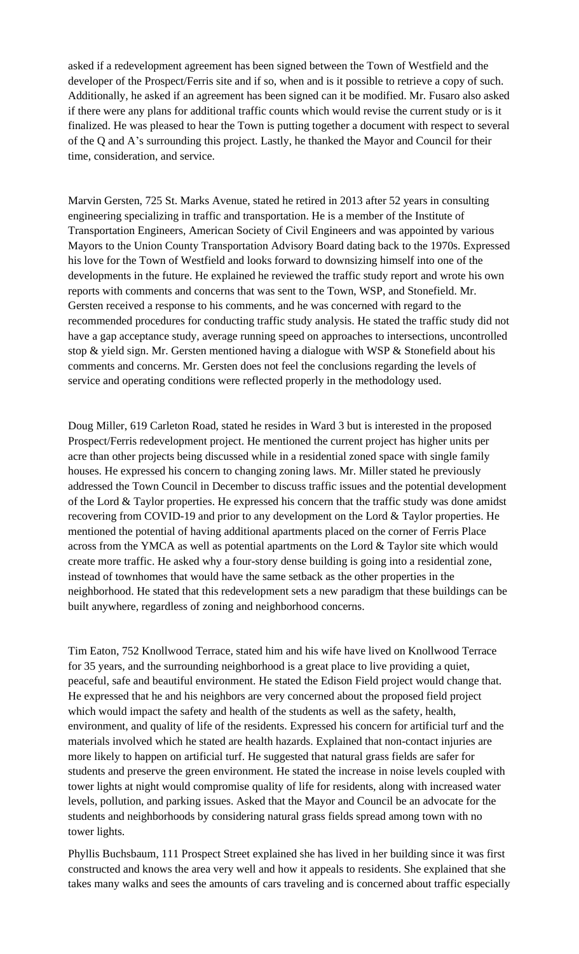asked if a redevelopment agreement has been signed between the Town of Westfield and the developer of the Prospect/Ferris site and if so, when and is it possible to retrieve a copy of such. Additionally, he asked if an agreement has been signed can it be modified. Mr. Fusaro also asked if there were any plans for additional traffic counts which would revise the current study or is it finalized. He was pleased to hear the Town is putting together a document with respect to several of the Q and A's surrounding this project. Lastly, he thanked the Mayor and Council for their time, consideration, and service.

Marvin Gersten, 725 St. Marks Avenue, stated he retired in 2013 after 52 years in consulting engineering specializing in traffic and transportation. He is a member of the Institute of Transportation Engineers, American Society of Civil Engineers and was appointed by various Mayors to the Union County Transportation Advisory Board dating back to the 1970s. Expressed his love for the Town of Westfield and looks forward to downsizing himself into one of the developments in the future. He explained he reviewed the traffic study report and wrote his own reports with comments and concerns that was sent to the Town, WSP, and Stonefield. Mr. Gersten received a response to his comments, and he was concerned with regard to the recommended procedures for conducting traffic study analysis. He stated the traffic study did not have a gap acceptance study, average running speed on approaches to intersections, uncontrolled stop & yield sign. Mr. Gersten mentioned having a dialogue with WSP & Stonefield about his comments and concerns. Mr. Gersten does not feel the conclusions regarding the levels of service and operating conditions were reflected properly in the methodology used.

Doug Miller, 619 Carleton Road, stated he resides in Ward 3 but is interested in the proposed Prospect/Ferris redevelopment project. He mentioned the current project has higher units per acre than other projects being discussed while in a residential zoned space with single family houses. He expressed his concern to changing zoning laws. Mr. Miller stated he previously addressed the Town Council in December to discuss traffic issues and the potential development of the Lord & Taylor properties. He expressed his concern that the traffic study was done amidst recovering from COVID-19 and prior to any development on the Lord & Taylor properties. He mentioned the potential of having additional apartments placed on the corner of Ferris Place across from the YMCA as well as potential apartments on the Lord & Taylor site which would create more traffic. He asked why a four-story dense building is going into a residential zone, instead of townhomes that would have the same setback as the other properties in the neighborhood. He stated that this redevelopment sets a new paradigm that these buildings can be built anywhere, regardless of zoning and neighborhood concerns.

Tim Eaton, 752 Knollwood Terrace, stated him and his wife have lived on Knollwood Terrace for 35 years, and the surrounding neighborhood is a great place to live providing a quiet, peaceful, safe and beautiful environment. He stated the Edison Field project would change that. He expressed that he and his neighbors are very concerned about the proposed field project which would impact the safety and health of the students as well as the safety, health, environment, and quality of life of the residents. Expressed his concern for artificial turf and the materials involved which he stated are health hazards. Explained that non-contact injuries are more likely to happen on artificial turf. He suggested that natural grass fields are safer for students and preserve the green environment. He stated the increase in noise levels coupled with tower lights at night would compromise quality of life for residents, along with increased water levels, pollution, and parking issues. Asked that the Mayor and Council be an advocate for the students and neighborhoods by considering natural grass fields spread among town with no tower lights.

Phyllis Buchsbaum, 111 Prospect Street explained she has lived in her building since it was first constructed and knows the area very well and how it appeals to residents. She explained that she takes many walks and sees the amounts of cars traveling and is concerned about traffic especially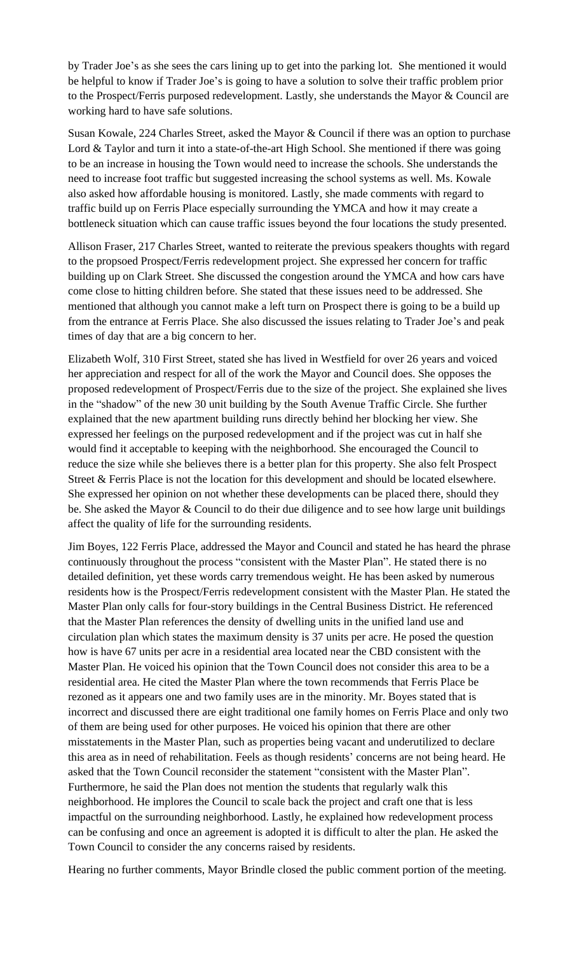by Trader Joe's as she sees the cars lining up to get into the parking lot. She mentioned it would be helpful to know if Trader Joe's is going to have a solution to solve their traffic problem prior to the Prospect/Ferris purposed redevelopment. Lastly, she understands the Mayor & Council are working hard to have safe solutions.

Susan Kowale, 224 Charles Street, asked the Mayor & Council if there was an option to purchase Lord & Taylor and turn it into a state-of-the-art High School. She mentioned if there was going to be an increase in housing the Town would need to increase the schools. She understands the need to increase foot traffic but suggested increasing the school systems as well. Ms. Kowale also asked how affordable housing is monitored. Lastly, she made comments with regard to traffic build up on Ferris Place especially surrounding the YMCA and how it may create a bottleneck situation which can cause traffic issues beyond the four locations the study presented.

Allison Fraser, 217 Charles Street, wanted to reiterate the previous speakers thoughts with regard to the propsoed Prospect/Ferris redevelopment project. She expressed her concern for traffic building up on Clark Street. She discussed the congestion around the YMCA and how cars have come close to hitting children before. She stated that these issues need to be addressed. She mentioned that although you cannot make a left turn on Prospect there is going to be a build up from the entrance at Ferris Place. She also discussed the issues relating to Trader Joe's and peak times of day that are a big concern to her.

Elizabeth Wolf, 310 First Street, stated she has lived in Westfield for over 26 years and voiced her appreciation and respect for all of the work the Mayor and Council does. She opposes the proposed redevelopment of Prospect/Ferris due to the size of the project. She explained she lives in the "shadow" of the new 30 unit building by the South Avenue Traffic Circle. She further explained that the new apartment building runs directly behind her blocking her view. She expressed her feelings on the purposed redevelopment and if the project was cut in half she would find it acceptable to keeping with the neighborhood. She encouraged the Council to reduce the size while she believes there is a better plan for this property. She also felt Prospect Street & Ferris Place is not the location for this development and should be located elsewhere. She expressed her opinion on not whether these developments can be placed there, should they be. She asked the Mayor & Council to do their due diligence and to see how large unit buildings affect the quality of life for the surrounding residents.

Jim Boyes, 122 Ferris Place, addressed the Mayor and Council and stated he has heard the phrase continuously throughout the process "consistent with the Master Plan". He stated there is no detailed definition, yet these words carry tremendous weight. He has been asked by numerous residents how is the Prospect/Ferris redevelopment consistent with the Master Plan. He stated the Master Plan only calls for four-story buildings in the Central Business District. He referenced that the Master Plan references the density of dwelling units in the unified land use and circulation plan which states the maximum density is 37 units per acre. He posed the question how is have 67 units per acre in a residential area located near the CBD consistent with the Master Plan. He voiced his opinion that the Town Council does not consider this area to be a residential area. He cited the Master Plan where the town recommends that Ferris Place be rezoned as it appears one and two family uses are in the minority. Mr. Boyes stated that is incorrect and discussed there are eight traditional one family homes on Ferris Place and only two of them are being used for other purposes. He voiced his opinion that there are other misstatements in the Master Plan, such as properties being vacant and underutilized to declare this area as in need of rehabilitation. Feels as though residents' concerns are not being heard. He asked that the Town Council reconsider the statement "consistent with the Master Plan". Furthermore, he said the Plan does not mention the students that regularly walk this neighborhood. He implores the Council to scale back the project and craft one that is less impactful on the surrounding neighborhood. Lastly, he explained how redevelopment process can be confusing and once an agreement is adopted it is difficult to alter the plan. He asked the Town Council to consider the any concerns raised by residents.

Hearing no further comments, Mayor Brindle closed the public comment portion of the meeting.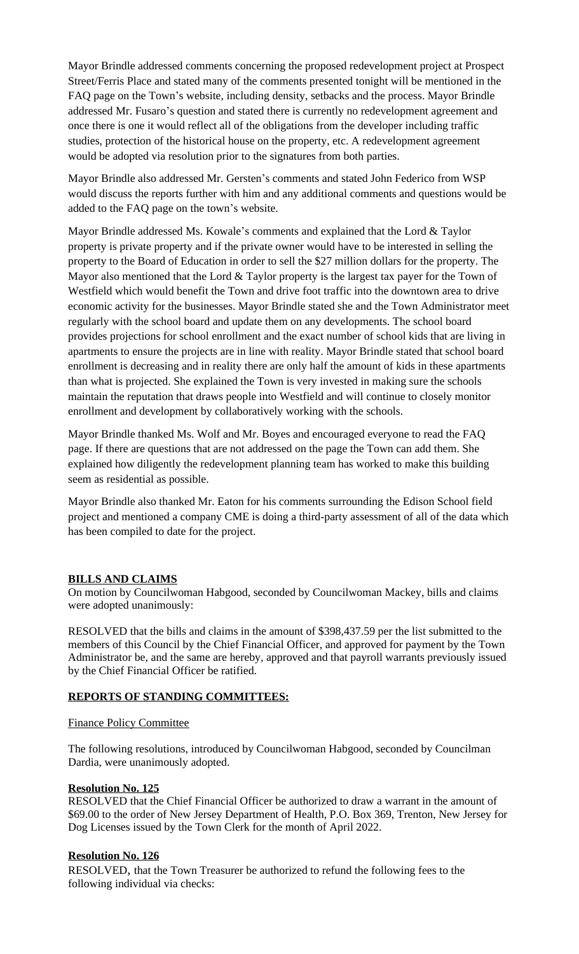Mayor Brindle addressed comments concerning the proposed redevelopment project at Prospect Street/Ferris Place and stated many of the comments presented tonight will be mentioned in the FAQ page on the Town's website, including density, setbacks and the process. Mayor Brindle addressed Mr. Fusaro's question and stated there is currently no redevelopment agreement and once there is one it would reflect all of the obligations from the developer including traffic studies, protection of the historical house on the property, etc. A redevelopment agreement would be adopted via resolution prior to the signatures from both parties.

Mayor Brindle also addressed Mr. Gersten's comments and stated John Federico from WSP would discuss the reports further with him and any additional comments and questions would be added to the FAQ page on the town's website.

Mayor Brindle addressed Ms. Kowale's comments and explained that the Lord & Taylor property is private property and if the private owner would have to be interested in selling the property to the Board of Education in order to sell the \$27 million dollars for the property. The Mayor also mentioned that the Lord  $&$  Taylor property is the largest tax payer for the Town of Westfield which would benefit the Town and drive foot traffic into the downtown area to drive economic activity for the businesses. Mayor Brindle stated she and the Town Administrator meet regularly with the school board and update them on any developments. The school board provides projections for school enrollment and the exact number of school kids that are living in apartments to ensure the projects are in line with reality. Mayor Brindle stated that school board enrollment is decreasing and in reality there are only half the amount of kids in these apartments than what is projected. She explained the Town is very invested in making sure the schools maintain the reputation that draws people into Westfield and will continue to closely monitor enrollment and development by collaboratively working with the schools.

Mayor Brindle thanked Ms. Wolf and Mr. Boyes and encouraged everyone to read the FAQ page. If there are questions that are not addressed on the page the Town can add them. She explained how diligently the redevelopment planning team has worked to make this building seem as residential as possible.

Mayor Brindle also thanked Mr. Eaton for his comments surrounding the Edison School field project and mentioned a company CME is doing a third-party assessment of all of the data which has been compiled to date for the project.

#### **BILLS AND CLAIMS**

On motion by Councilwoman Habgood, seconded by Councilwoman Mackey, bills and claims were adopted unanimously:

RESOLVED that the bills and claims in the amount of \$398,437.59 per the list submitted to the members of this Council by the Chief Financial Officer, and approved for payment by the Town Administrator be, and the same are hereby, approved and that payroll warrants previously issued by the Chief Financial Officer be ratified.

#### **REPORTS OF STANDING COMMITTEES:**

#### Finance Policy Committee

The following resolutions, introduced by Councilwoman Habgood, seconded by Councilman Dardia, were unanimously adopted.

#### **Resolution No. 125**

RESOLVED that the Chief Financial Officer be authorized to draw a warrant in the amount of \$69.00 to the order of New Jersey Department of Health, P.O. Box 369, Trenton, New Jersey for Dog Licenses issued by the Town Clerk for the month of April 2022.

#### **Resolution No. 126**

RESOLVED, that the Town Treasurer be authorized to refund the following fees to the following individual via checks: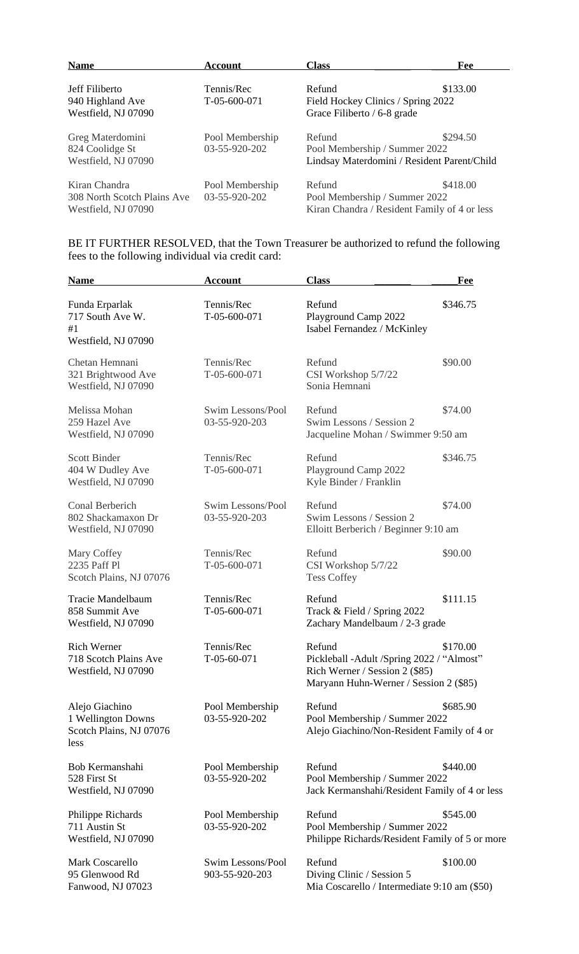| <b>Name</b>                                                         | Account                          | <b>Class</b>                                                                            | Fee      |
|---------------------------------------------------------------------|----------------------------------|-----------------------------------------------------------------------------------------|----------|
| Jeff Filiberto<br>940 Highland Ave<br>Westfield, NJ 07090           | Tennis/Rec<br>$T-0.5-600-0.71$   | Refund<br>Field Hockey Clinics / Spring 2022<br>Grace Filiberto / 6-8 grade             | \$133.00 |
| Greg Materdomini<br>824 Coolidge St<br>Westfield, NJ 07090          | Pool Membership<br>03-55-920-202 | Refund<br>Pool Membership / Summer 2022<br>Lindsay Materdomini / Resident Parent/Child  | \$294.50 |
| Kiran Chandra<br>308 North Scotch Plains Ave<br>Westfield, NJ 07090 | Pool Membership<br>03-55-920-202 | Refund<br>Pool Membership / Summer 2022<br>Kiran Chandra / Resident Family of 4 or less | \$418.00 |

BE IT FURTHER RESOLVED, that the Town Treasurer be authorized to refund the following fees to the following individual via credit card:

| <b>Name</b>                                                             | <b>Account</b>                      | <b>Class</b>                                                                                                                      | Fee      |
|-------------------------------------------------------------------------|-------------------------------------|-----------------------------------------------------------------------------------------------------------------------------------|----------|
| Funda Erparlak<br>717 South Ave W.<br>#1<br>Westfield, NJ 07090         | Tennis/Rec<br>$T-05-600-071$        | Refund<br>Playground Camp 2022<br>Isabel Fernandez / McKinley                                                                     | \$346.75 |
| Chetan Hemnani<br>321 Brightwood Ave<br>Westfield, NJ 07090             | Tennis/Rec<br>T-05-600-071          | Refund<br>CSI Workshop 5/7/22<br>Sonia Hemnani                                                                                    | \$90.00  |
| Melissa Mohan<br>259 Hazel Ave<br>Westfield, NJ 07090                   | Swim Lessons/Pool<br>03-55-920-203  | Refund<br>Swim Lessons / Session 2<br>Jacqueline Mohan / Swimmer 9:50 am                                                          | \$74.00  |
| <b>Scott Binder</b><br>404 W Dudley Ave<br>Westfield, NJ 07090          | Tennis/Rec<br>$T-05-600-071$        | Refund<br>Playground Camp 2022<br>Kyle Binder / Franklin                                                                          | \$346.75 |
| Conal Berberich<br>802 Shackamaxon Dr<br>Westfield, NJ 07090            | Swim Lessons/Pool<br>03-55-920-203  | Refund<br>Swim Lessons / Session 2<br>Elloitt Berberich / Beginner 9:10 am                                                        | \$74.00  |
| Mary Coffey<br>2235 Paff Pl<br>Scotch Plains, NJ 07076                  | Tennis/Rec<br>T-05-600-071          | Refund<br>CSI Workshop 5/7/22<br><b>Tess Coffey</b>                                                                               | \$90.00  |
| Tracie Mandelbaum<br>858 Summit Ave<br>Westfield, NJ 07090              | Tennis/Rec<br>T-05-600-071          | Refund<br>Track & Field / Spring 2022<br>Zachary Mandelbaum / 2-3 grade                                                           | \$111.15 |
| <b>Rich Werner</b><br>718 Scotch Plains Ave<br>Westfield, NJ 07090      | Tennis/Rec<br>$T-05-60-071$         | Refund<br>Pickleball - Adult / Spring 2022 / "Almost"<br>Rich Werner / Session 2 (\$85)<br>Maryann Huhn-Werner / Session 2 (\$85) | \$170.00 |
| Alejo Giachino<br>1 Wellington Downs<br>Scotch Plains, NJ 07076<br>less | Pool Membership<br>03-55-920-202    | Refund<br>Pool Membership / Summer 2022<br>Alejo Giachino/Non-Resident Family of 4 or                                             | \$685.90 |
| Bob Kermanshahi<br>528 First St<br>Westfield, NJ 07090                  | Pool Membership<br>03-55-920-202    | Refund<br>Pool Membership / Summer 2022<br>Jack Kermanshahi/Resident Family of 4 or less                                          | \$440.00 |
| Philippe Richards<br>711 Austin St<br>Westfield, NJ 07090               | Pool Membership<br>03-55-920-202    | Refund<br>Pool Membership / Summer 2022<br>Philippe Richards/Resident Family of 5 or more                                         | \$545.00 |
| Mark Coscarello<br>95 Glenwood Rd<br>Fanwood, NJ 07023                  | Swim Lessons/Pool<br>903-55-920-203 | Refund<br>Diving Clinic / Session 5<br>Mia Coscarello / Intermediate 9:10 am (\$50)                                               | \$100.00 |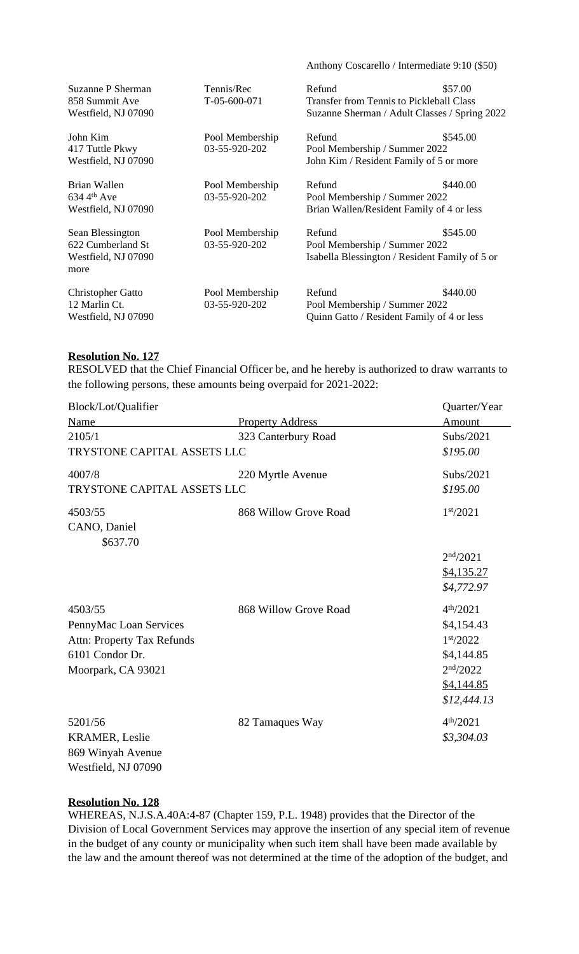| Suzanne P Sherman<br>858 Summit Ave<br>Westfield, NJ 07090           | Tennis/Rec<br>T-05-600-071       | Refund<br><b>Transfer from Tennis to Pickleball Class</b><br>Suzanne Sherman / Adult Classes / Spring 2022 | \$57.00  |
|----------------------------------------------------------------------|----------------------------------|------------------------------------------------------------------------------------------------------------|----------|
| John Kim<br>417 Tuttle Pkwy<br>Westfield, NJ 07090                   | Pool Membership<br>03-55-920-202 | Refund<br>Pool Membership / Summer 2022<br>John Kim / Resident Family of 5 or more                         | \$545.00 |
| Brian Wallen<br>$634\,4th$ Ave<br>Westfield, NJ 07090                | Pool Membership<br>03-55-920-202 | Refund<br>Pool Membership / Summer 2022<br>Brian Wallen/Resident Family of 4 or less                       | \$440.00 |
| Sean Blessington<br>622 Cumberland St<br>Westfield, NJ 07090<br>more | Pool Membership<br>03-55-920-202 | Refund<br>Pool Membership / Summer 2022<br>Isabella Blessington / Resident Family of 5 or                  | \$545.00 |
| <b>Christopher Gatto</b><br>12 Marlin Ct.<br>Westfield, NJ 07090     | Pool Membership<br>03-55-920-202 | Refund<br>Pool Membership / Summer 2022<br>Quinn Gatto / Resident Family of 4 or less                      | \$440.00 |

Anthony Coscarello / Intermediate 9:10 (\$50)

#### **Resolution No. 127**

RESOLVED that the Chief Financial Officer be, and he hereby is authorized to draw warrants to the following persons, these amounts being overpaid for 2021-2022:

| Block/Lot/Qualifier               |                         | Quarter/Year          |
|-----------------------------------|-------------------------|-----------------------|
| Name                              | <b>Property Address</b> | Amount                |
| 2105/1                            | 323 Canterbury Road     | Subs/2021             |
| TRYSTONE CAPITAL ASSETS LLC       | \$195.00                |                       |
| 4007/8                            | 220 Myrtle Avenue       | Subs/2021             |
| TRYSTONE CAPITAL ASSETS LLC       | \$195.00                |                       |
| 4503/55                           | 868 Willow Grove Road   | 1 <sup>st</sup> /2021 |
| CANO, Daniel                      |                         |                       |
| \$637.70                          |                         |                       |
|                                   |                         | 2 <sup>nd</sup> /2021 |
|                                   |                         | \$4,135.27            |
|                                   |                         | \$4,772.97            |
| 4503/55                           | 868 Willow Grove Road   | 4 <sup>th</sup> /2021 |
| PennyMac Loan Services            |                         | \$4,154.43            |
| <b>Attn: Property Tax Refunds</b> |                         | 1 <sup>st</sup> /2022 |
| 6101 Condor Dr.                   |                         | \$4,144.85            |
| Moorpark, CA 93021                |                         | 2 <sup>nd</sup> /2022 |
|                                   |                         | \$4,144.85            |
|                                   |                         | \$12,444.13           |
| 5201/56                           | 82 Tamaques Way         | 4 <sup>th</sup> /2021 |
| <b>KRAMER, Leslie</b>             |                         | \$3,304.03            |
| 869 Winyah Avenue                 |                         |                       |
| Westfield, NJ 07090               |                         |                       |

#### **Resolution No. 128**

WHEREAS, N.J.S.A.40A:4-87 (Chapter 159, P.L. 1948) provides that the Director of the Division of Local Government Services may approve the insertion of any special item of revenue in the budget of any county or municipality when such item shall have been made available by the law and the amount thereof was not determined at the time of the adoption of the budget, and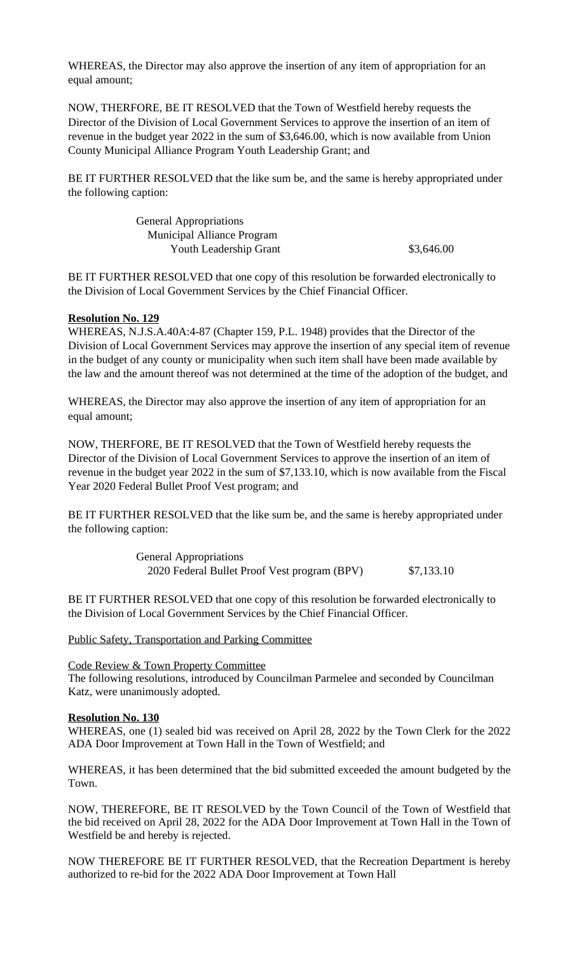WHEREAS, the Director may also approve the insertion of any item of appropriation for an equal amount;

NOW, THERFORE, BE IT RESOLVED that the Town of Westfield hereby requests the Director of the Division of Local Government Services to approve the insertion of an item of revenue in the budget year 2022 in the sum of \$3,646.00, which is now available from Union County Municipal Alliance Program Youth Leadership Grant; and

BE IT FURTHER RESOLVED that the like sum be, and the same is hereby appropriated under the following caption:

> General Appropriations Municipal Alliance Program Youth Leadership Grant  $$3,646.00$

BE IT FURTHER RESOLVED that one copy of this resolution be forwarded electronically to the Division of Local Government Services by the Chief Financial Officer.

#### **Resolution No. 129**

WHEREAS, N.J.S.A.40A:4-87 (Chapter 159, P.L. 1948) provides that the Director of the Division of Local Government Services may approve the insertion of any special item of revenue in the budget of any county or municipality when such item shall have been made available by the law and the amount thereof was not determined at the time of the adoption of the budget, and

WHEREAS, the Director may also approve the insertion of any item of appropriation for an equal amount;

NOW, THERFORE, BE IT RESOLVED that the Town of Westfield hereby requests the Director of the Division of Local Government Services to approve the insertion of an item of revenue in the budget year 2022 in the sum of \$7,133.10, which is now available from the Fiscal Year 2020 Federal Bullet Proof Vest program; and

BE IT FURTHER RESOLVED that the like sum be, and the same is hereby appropriated under the following caption:

> General Appropriations 2020 Federal Bullet Proof Vest program (BPV) \$7,133.10

BE IT FURTHER RESOLVED that one copy of this resolution be forwarded electronically to the Division of Local Government Services by the Chief Financial Officer.

Public Safety, Transportation and Parking Committee

#### Code Review & Town Property Committee

The following resolutions, introduced by Councilman Parmelee and seconded by Councilman Katz, were unanimously adopted.

#### **Resolution No. 130**

WHEREAS, one (1) sealed bid was received on April 28, 2022 by the Town Clerk for the 2022 ADA Door Improvement at Town Hall in the Town of Westfield; and

WHEREAS, it has been determined that the bid submitted exceeded the amount budgeted by the Town.

NOW, THEREFORE, BE IT RESOLVED by the Town Council of the Town of Westfield that the bid received on April 28, 2022 for the ADA Door Improvement at Town Hall in the Town of Westfield be and hereby is rejected.

NOW THEREFORE BE IT FURTHER RESOLVED, that the Recreation Department is hereby authorized to re-bid for the 2022 ADA Door Improvement at Town Hall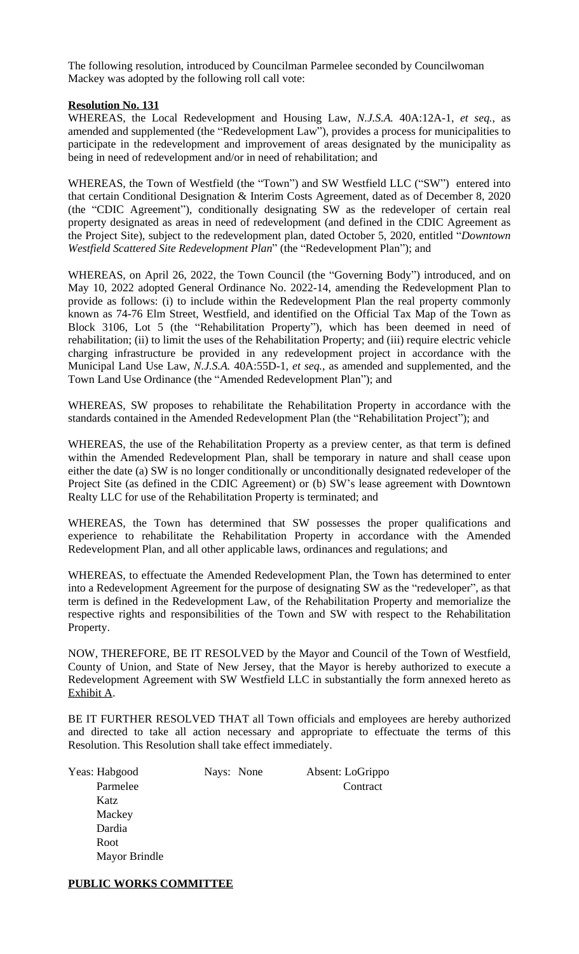The following resolution, introduced by Councilman Parmelee seconded by Councilwoman Mackey was adopted by the following roll call vote:

#### **Resolution No. 131**

WHEREAS, the Local Redevelopment and Housing Law, *N.J.S.A.* 40A:12A-1, *et seq.*, as amended and supplemented (the "Redevelopment Law"), provides a process for municipalities to participate in the redevelopment and improvement of areas designated by the municipality as being in need of redevelopment and/or in need of rehabilitation; and

WHEREAS, the Town of Westfield (the "Town") and SW Westfield LLC ("SW") entered into that certain Conditional Designation & Interim Costs Agreement, dated as of December 8, 2020 (the "CDIC Agreement"), conditionally designating SW as the redeveloper of certain real property designated as areas in need of redevelopment (and defined in the CDIC Agreement as the Project Site), subject to the redevelopment plan, dated October 5, 2020, entitled "*Downtown Westfield Scattered Site Redevelopment Plan*" (the "Redevelopment Plan"); and

WHEREAS, on April 26, 2022, the Town Council (the "Governing Body") introduced, and on May 10, 2022 adopted General Ordinance No. 2022-14, amending the Redevelopment Plan to provide as follows: (i) to include within the Redevelopment Plan the real property commonly known as 74-76 Elm Street, Westfield, and identified on the Official Tax Map of the Town as Block 3106, Lot 5 (the "Rehabilitation Property"), which has been deemed in need of rehabilitation; (ii) to limit the uses of the Rehabilitation Property; and (iii) require electric vehicle charging infrastructure be provided in any redevelopment project in accordance with the Municipal Land Use Law, *N.J.S.A.* 40A:55D-1, *et seq.*, as amended and supplemented, and the Town Land Use Ordinance (the "Amended Redevelopment Plan"); and

WHEREAS, SW proposes to rehabilitate the Rehabilitation Property in accordance with the standards contained in the Amended Redevelopment Plan (the "Rehabilitation Project"); and

WHEREAS, the use of the Rehabilitation Property as a preview center, as that term is defined within the Amended Redevelopment Plan, shall be temporary in nature and shall cease upon either the date (a) SW is no longer conditionally or unconditionally designated redeveloper of the Project Site (as defined in the CDIC Agreement) or (b) SW's lease agreement with Downtown Realty LLC for use of the Rehabilitation Property is terminated; and

WHEREAS, the Town has determined that SW possesses the proper qualifications and experience to rehabilitate the Rehabilitation Property in accordance with the Amended Redevelopment Plan, and all other applicable laws, ordinances and regulations; and

WHEREAS, to effectuate the Amended Redevelopment Plan, the Town has determined to enter into a Redevelopment Agreement for the purpose of designating SW as the "redeveloper", as that term is defined in the Redevelopment Law, of the Rehabilitation Property and memorialize the respective rights and responsibilities of the Town and SW with respect to the Rehabilitation Property.

NOW, THEREFORE, BE IT RESOLVED by the Mayor and Council of the Town of Westfield, County of Union, and State of New Jersey, that the Mayor is hereby authorized to execute a Redevelopment Agreement with SW Westfield LLC in substantially the form annexed hereto as Exhibit A.

BE IT FURTHER RESOLVED THAT all Town officials and employees are hereby authorized and directed to take all action necessary and appropriate to effectuate the terms of this Resolution. This Resolution shall take effect immediately.

 Katz **Mackey**  Dardia Root Mayor Brindle

Yeas: Habgood Nays: None Absent: LoGrippo Parmelee Contract

#### **PUBLIC WORKS COMMITTEE**